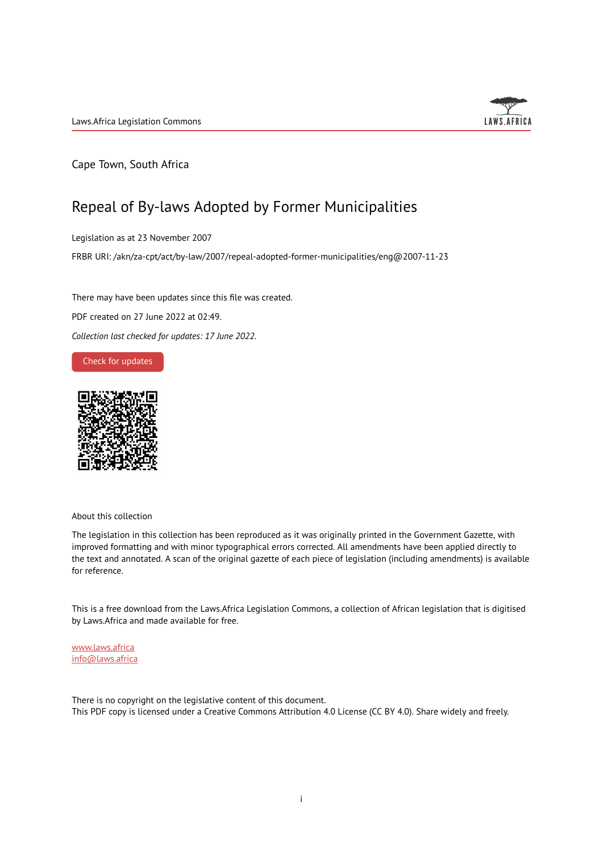

Cape Town, South Africa

## Repeal of By-laws Adopted by Former Municipalities

Legislation as at 23 November 2007

FRBR URI: /akn/za-cpt/act/by-law/2007/repeal-adopted-former-municipalities/eng@2007-11-23

There may have been updates since this file was created.

PDF created on 27 June 2022 at 02:49.

*Collection last checked for updates: 17 June 2022*.

Check for [updates](https://commons.laws.africa/akn/za-cpt/act/by-law/2007/repeal-adopted-former-municipalities/eng@2007-11-23?ts=2022-06-27T02:49:03.875911+00:00)



About this collection

The legislation in this collection has been reproduced as it was originally printed in the Government Gazette, with improved formatting and with minor typographical errors corrected. All amendments have been applied directly to the text and annotated. A scan of the original gazette of each piece of legislation (including amendments) is available for reference.

This is a free download from the Laws.Africa Legislation Commons, a collection of African legislation that is digitised by Laws.Africa and made available for free.

[www.laws.africa](https://www.laws.africa) [info@laws.africa](mailto:info@laws.africa)

There is no copyright on the legislative content of this document. This PDF copy is licensed under a Creative Commons Attribution 4.0 License (CC BY 4.0). Share widely and freely.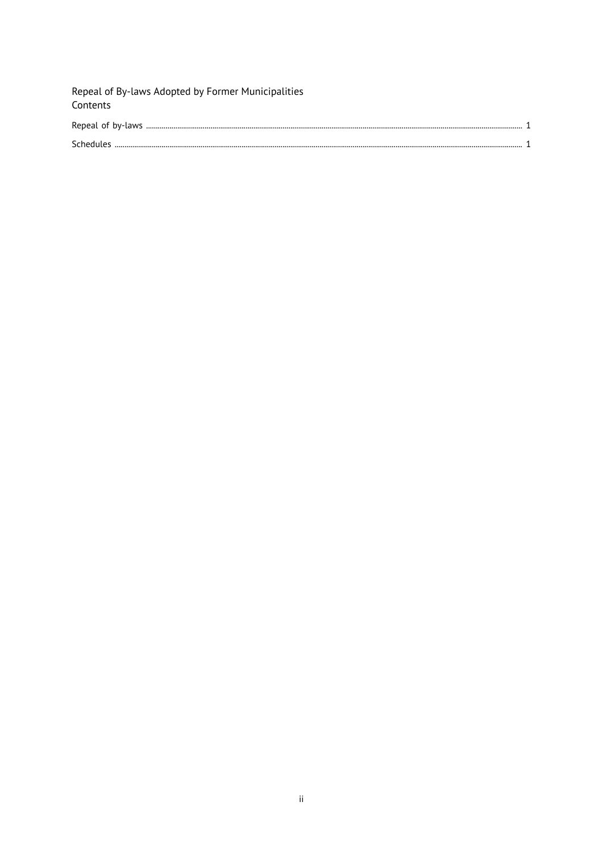| Repeal of By-laws Adopted by Former Municipalities<br>Contents |  |
|----------------------------------------------------------------|--|
|                                                                |  |
|                                                                |  |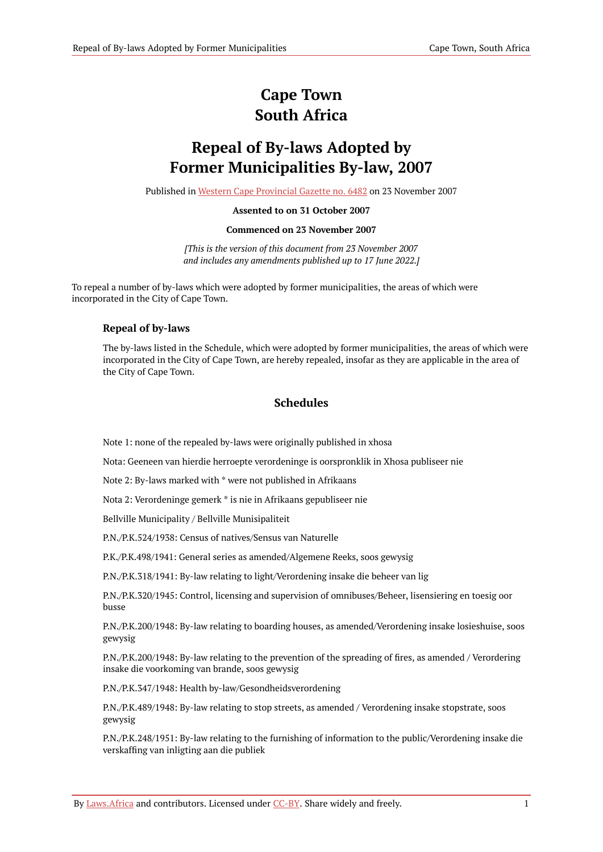# **Cape Town South Africa**

# **Repeal of By-laws Adopted by Former Municipalities By-law, 2007**

Published in Western Cape [Provincial](https://commons.laws.africa/akn/za-cpt/act/by-law/2007/repeal-adopted-former-municipalities/media/publication/za-cpt-act-by-law-2007-repeal-adopted-former-municipalities-publication-document.pdf) Gazette no. 6482 on 23 November 2007

#### **Assented to on 31 October 2007**

#### **Commenced on 23 November 2007**

*[This is the version of this document from 23 November 2007 and includes any amendments published up to 17 June 2022.]*

To repeal a number of by-laws which were adopted by former municipalities, the areas of which were incorporated in the City of Cape Town.

### <span id="page-2-0"></span>**Repeal of by-laws**

The by-laws listed in the Schedule, which were adopted by former municipalities, the areas of which were incorporated in the City of Cape Town, are hereby repealed, insofar as they are applicable in the area of the City of Cape Town.

### **Schedules**

<span id="page-2-1"></span>Note 1: none of the repealed by-laws were originally published in xhosa

Nota: Geeneen van hierdie herroepte verordeninge is oorspronklik in Xhosa publiseer nie

Note 2: By-laws marked with \* were not published in Afrikaans

Nota 2: Verordeninge gemerk \* is nie in Afrikaans gepubliseer nie

Bellville Municipality / Bellville Munisipaliteit

P.N./P.K.524/1938: Census of natives/Sensus van Naturelle

P.K./P.K.498/1941: General series as amended/Algemene Reeks, soos gewysig

P.N./P.K.318/1941: By-law relating to light/Verordening insake die beheer van lig

P.N./P.K.320/1945: Control, licensing and supervision of omnibuses/Beheer, lisensiering en toesig oor busse

P.N./P.K.200/1948: By-law relating to boarding houses, as amended/Verordening insake losieshuise, soos gewysig

P.N./P.K.200/1948: By-law relating to the prevention of the spreading of fires, as amended / Verordering insake die voorkoming van brande, soos gewysig

P.N./P.K.347/1948: Health by-law/Gesondheidsverordening

P.N./P.K.489/1948: By-law relating to stop streets, as amended / Verordening insake stopstrate, soos gewysig

P.N./P.K.248/1951: By-law relating to the furnishing of information to the public/Verordening insake die verskaffing van inligting aan die publiek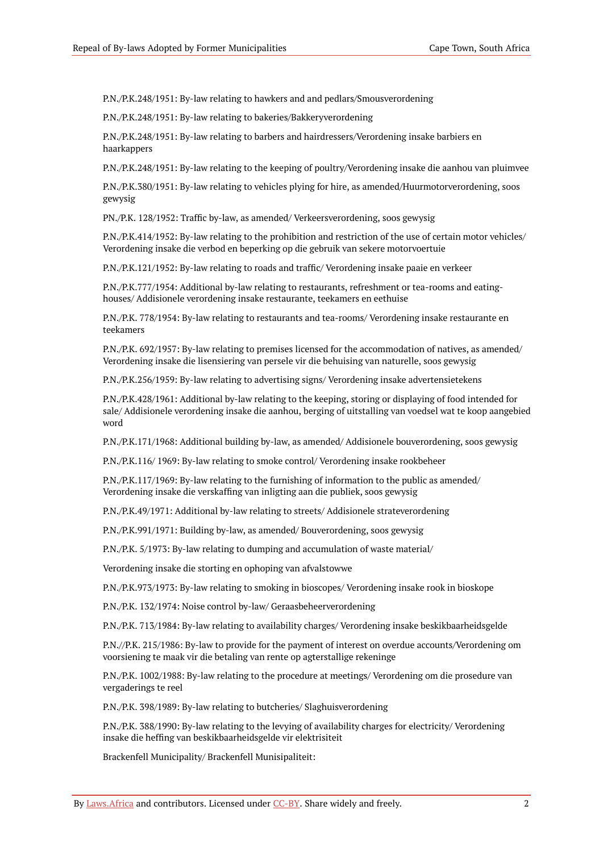P.N./P.K.248/1951: By-law relating to hawkers and and pedlars/Smousverordening

P.N./P.K.248/1951: By-law relating to bakeries/Bakkeryverordening

P.N./P.K.248/1951: By-law relating to barbers and hairdressers/Verordening insake barbiers en haarkappers

P.N./P.K.248/1951: By-law relating to the keeping of poultry/Verordening insake die aanhou van pluimvee

P.N./P.K.380/1951: By-law relating to vehicles plying for hire, as amended/Huurmotorverordening, soos gewysig

PN./P.K. 128/1952: Traffic by-law, as amended/ Verkeersverordening, soos gewysig

P.N./P.K.414/1952: By-law relating to the prohibition and restriction of the use of certain motor vehicles/ Verordening insake die verbod en beperking op die gebruik van sekere motorvoertuie

P.N./P.K.121/1952: By-law relating to roads and traffic/ Verordening insake paaie en verkeer

P.N./P.K.777/1954: Additional by-law relating to restaurants, refreshment or tea-rooms and eatinghouses/ Addisionele verordening insake restaurante, teekamers en eethuise

P.N./P.K. 778/1954: By-law relating to restaurants and tea-rooms/ Verordening insake restaurante en teekamers

P.N./P.K. 692/1957: By-law relating to premises licensed for the accommodation of natives, as amended/ Verordening insake die lisensiering van persele vir die behuising van naturelle, soos gewysig

P.N./P.K.256/1959: By-law relating to advertising signs/ Verordening insake advertensietekens

P.N./P.K.428/1961: Additional by-law relating to the keeping, storing or displaying of food intended for sale/ Addisionele verordening insake die aanhou, berging of uitstalling van voedsel wat te koop aangebied word

P.N./P.K.171/1968: Additional building by-law, as amended/ Addisionele bouverordening, soos gewysig

P.N./P.K.116/ 1969: By-law relating to smoke control/ Verordening insake rookbeheer

P.N./P.K.117/1969: By-law relating to the furnishing of information to the public as amended/ Verordening insake die verskaffing van inligting aan die publiek, soos gewysig

P.N./P.K.49/1971: Additional by-law relating to streets/ Addisionele strateverordening

P.N./P.K.991/1971: Building by-law, as amended/ Bouverordening, soos gewysig

P.N./P.K. 5/1973: By-law relating to dumping and accumulation of waste material/

Verordening insake die storting en ophoping van afvalstowwe

P.N./P.K.973/1973: By-law relating to smoking in bioscopes/ Verordening insake rook in bioskope

P.N./P.K. 132/1974: Noise control by-law/ Geraasbeheerverordening

P.N./P.K. 713/1984: By-law relating to availability charges/ Verordening insake beskikbaarheidsgelde

P.N.//P.K. 215/1986: By-law to provide for the payment of interest on overdue accounts/Verordening om voorsiening te maak vir die betaling van rente op agterstallige rekeninge

P.N./P.K. 1002/1988: By-law relating to the procedure at meetings/ Verordening om die prosedure van vergaderings te reel

P.N./P.K. 398/1989: By-law relating to butcheries/ Slaghuisverordening

P.N./P.K. 388/1990: By-law relating to the levying of availability charges for electricity/ Verordening insake die heffing van beskikbaarheidsgelde vir elektrisiteit

Brackenfell Municipality/ Brackenfell Munisipaliteit: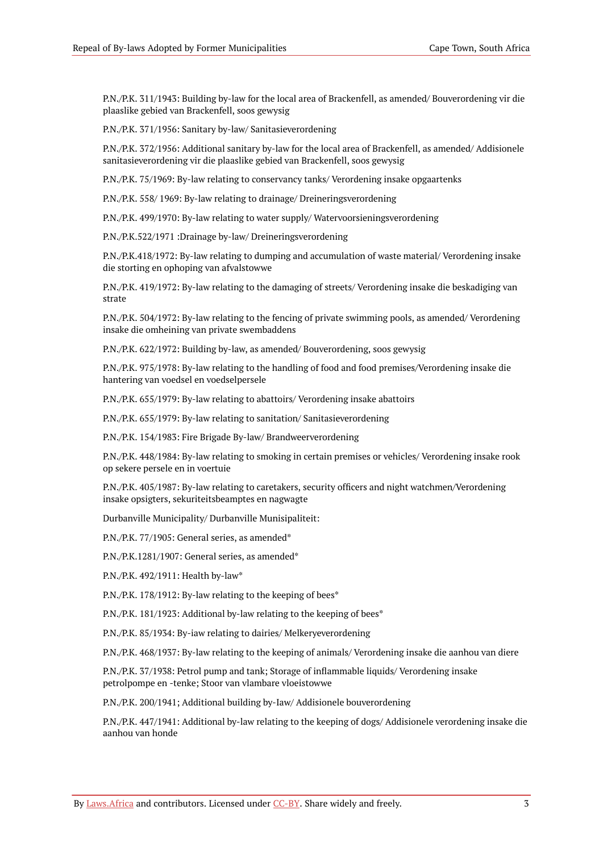P.N./P.K. 311/1943: Building by-law for the local area of Brackenfell, as amended/ Bouverordening vir die plaaslike gebied van Brackenfell, soos gewysig

P.N./P.K. 371/1956: Sanitary by-law/ Sanitasieverordening

P.N./P.K. 372/1956: Additional sanitary by-law for the local area of Brackenfell, as amended/ Addisionele sanitasieverordening vir die plaaslike gebied van Brackenfell, soos gewysig

P.N./P.K. 75/1969: By-law relating to conservancy tanks/ Verordening insake opgaartenks

P.N./P.K. 558/ 1969: By-law relating to drainage/ Dreineringsverordening

P.N./P.K. 499/1970: By-law relating to water supply/ Watervoorsieningsverordening

P.N./P.K.522/1971 :Drainage by-law/ Dreineringsverordening

P.N./P.K.418/1972: By-law relating to dumping and accumulation of waste material/ Verordening insake die storting en ophoping van afvalstowwe

P.N./P.K. 419/1972: By-law relating to the damaging of streets/ Verordening insake die beskadiging van strate

P.N./P.K. 504/1972: By-law relating to the fencing of private swimming pools, as amended/ Verordening insake die omheining van private swembaddens

P.N./P.K. 622/1972: Building by-law, as amended/ Bouverordening, soos gewysig

P.N./P.K. 975/1978: By-law relating to the handling of food and food premises/Verordening insake die hantering van voedsel en voedselpersele

P.N./P.K. 655/1979: By-law relating to abattoirs/ Verordening insake abattoirs

P.N./P.K. 655/1979: By-law relating to sanitation/ Sanitasieverordening

P.N./P.K. 154/1983: Fire Brigade By-law/ Brandweerverordening

P.N./P.K. 448/1984: By-law relating to smoking in certain premises or vehicles/ Verordening insake rook op sekere persele en in voertuie

P.N./P.K. 405/1987: By-law relating to caretakers, security officers and night watchmen/Verordening insake opsigters, sekuriteitsbeamptes en nagwagte

Durbanville Municipality/ Durbanville Munisipaliteit:

P.N./P.K. 77/1905: General series, as amended\*

P.N./P.K.1281/1907: General series, as amended\*

P.N./P.K. 492/1911: Health by-law\*

P.N./P.K. 178/1912: By-law relating to the keeping of bees\*

P.N./P.K. 181/1923: Additional by-law relating to the keeping of bees\*

P.N./P.K. 85/1934: By-iaw relating to dairies/ Melkeryeverordening

P.N./P.K. 468/1937: By-law relating to the keeping of animals/ Verordening insake die aanhou van diere

P.N./P.K. 37/1938: Petrol pump and tank; Storage of inflammable liquids/ Verordening insake petrolpompe en -tenke; Stoor van vlambare vloeistowwe

P.N./P.K. 200/1941; Additional building by-Iaw/ Addisionele bouverordening

P.N./P.K. 447/1941: Additional by-law relating to the keeping of dogs/ Addisionele verordening insake die aanhou van honde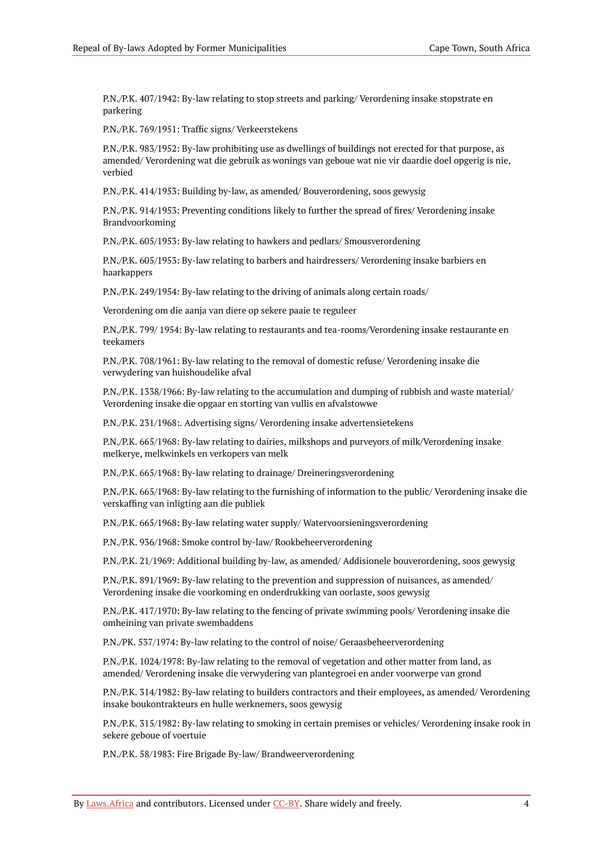P.N./P.K. 407/1942: By-law relating to stop streets and parking/ Verordening insake stopstrate en parkering

P.N./P.K. 769/1951: Traffic signs/ Verkeerstekens

P.N./P.K. 983/1952: By-law prohibiting use as dwellings of buildings not erected for that purpose, as amended/ Verordening wat die gebruik as wonings van geboue wat nie vir daardie doel opgerig is nie, verbied

P.N./P.K. 414/1953: Building by-law, as amended/ Bouverordening, soos gewysig

P.N./P.K. 914/1953: Preventing conditions likely to further the spread of fires/ Verordening insake Brandvoorkoming

P.N./P.K. 605/1953: By-law relating to hawkers and pedlars/ Smousverordening

P.N./P.K. 605/1953: By-law relating to barbers and hairdressers/ Verordening insake barbiers en haarkappers

P.N./P.K. 249/1954: By-law relating to the driving of animals along certain roads/

Verordening om die aanja van diere op sekere paaie te reguleer

P.N./P.K. 799/ 1954: By-law relating to restaurants and tea-rooms/Verordening insake restaurante en teekamers

P.N./P.K. 708/1961: By-law relating to the removal of domestic refuse/ Verordening insake die verwydering van huishoudelike afval

P.N./P.K. 1338/1966: By-law relating to the accumulation and dumping of rubbish and waste material/ Verordening insake die opgaar en storting van vullis en afvalstowwe

P.N./P.K. 231/1968:. Advertising signs/ Verordening insake advertensietekens

P.N./P.K. 665/1968: By-law relating to dairies, milkshops and purveyors of milk/Verordening insake melkerye, melkwinkels en verkopers van melk

P.N./P.K. 665/1968: By-law relating to drainage/ Dreineringsverordening

P.N./P.K. 665/1968: By-law relating to the furnishing of information to the public/ Verordening insake die verskaffing van inligting aan die publiek

P.N./P.K. 665/1968: By-law relating water supply/ Watervoorsieningsverordening

P.N./P.K. 936/1968: Smoke control by-law/ Rookbeheerverordening

P.N./P.K. 21/1969: Additional building by-law, as amended/ Addisionele bouverordening, soos gewysig

P.N./P.K. 891/1969: By-law relating to the prevention and suppression of nuisances, as amended/ Verordening insake die voorkoming en onderdrukking van oorlaste, soos gewysig

P.N./P.K. 417/1970: By-law relating to the fencing of private swimming pools/ Verordening insake die omheining van private swembaddens

P.N./PK. 537/1974: By-law relating to the control of noise/ Geraasbeheerverordening

P.N./P.K. 1024/1978: By-law relating to the removal of vegetation and other matter from land, as amended/ Verordening insake die verwydering van plantegroei en ander voorwerpe van grond

P.N./P.K. 314/1982: By-law relating to builders contractors and their employees, as amended/ Verordening insake boukontrakteurs en hulle werknemers, soos gewysig

P.N./P.K. 315/1982: By-law relating to smoking in certain premises or vehicles/ Verordening insake rook in sekere geboue of voertuie

P.N./P.K. 58/1983: Fire Brigade By-law/ Brandweerverordening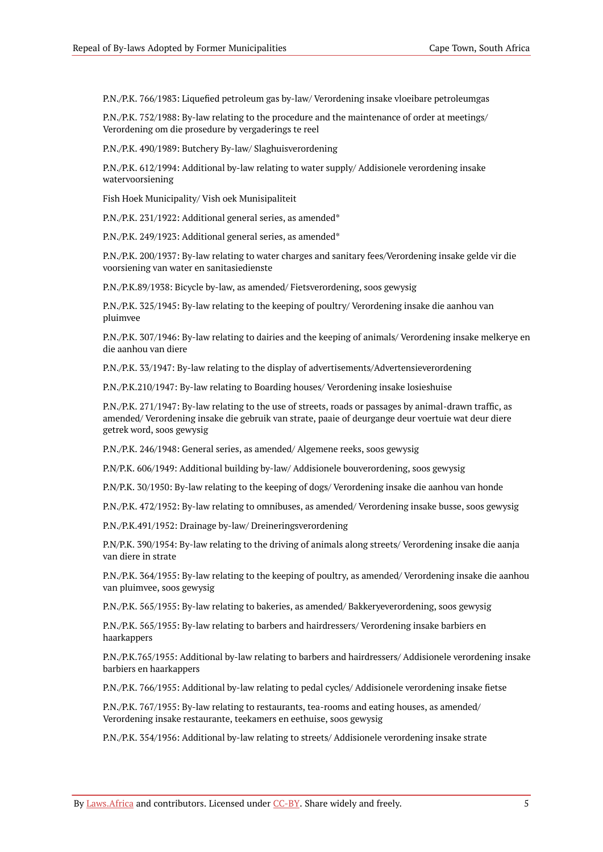P.N./P.K. 766/1983: Liquefied petroleum gas by-law/ Verordening insake vloeibare petroleumgas

P.N./P.K. 752/1988: By-law relating to the procedure and the maintenance of order at meetings/ Verordening om die prosedure by vergaderings te reel

P.N./P.K. 490/1989: Butchery By-law/ Slaghuisverordening

P.N./P.K. 612/1994: Additional by-law relating to water supply/ Addisionele verordening insake watervoorsiening

Fish Hoek Municipality/ Vish oek Munisipaliteit

P.N./P.K. 231/1922: Additional general series, as amended\*

P.N./P.K. 249/1923: Additional general series, as amended\*

P.N./P.K. 200/1937: By-law relating to water charges and sanitary fees/Verordening insake gelde vir die voorsiening van water en sanitasiedienste

P.N./P.K.89/1938: Bicycle by-law, as amended/ Fietsverordening, soos gewysig

P.N./P.K. 325/1945: By-law relating to the keeping of poultry/ Verordening insake die aanhou van pluimvee

P.N./P.K. 307/1946: By-law relating to dairies and the keeping of animals/ Verordening insake melkerye en die aanhou van diere

P.N./P.K. 33/1947: By-law relating to the display of advertisements/Advertensieverordening

P.N./P.K.210/1947: By-law relating to Boarding houses/ Verordening insake losieshuise

P.N./P.K. 271/1947: By-law relating to the use of streets, roads or passages by animal-drawn traffic, as amended/ Verordening insake die gebruik van strate, paaie of deurgange deur voertuie wat deur diere getrek word, soos gewysig

P.N./P.K. 246/1948: General series, as amended/ Algemene reeks, soos gewysig

P.N/P.K. 606/1949: Additional building by-law/ Addisionele bouverordening, soos gewysig

P.N/P.K. 30/1950: By-law relating to the keeping of dogs/ Verordening insake die aanhou van honde

P.N./P.K. 472/1952: By-law relating to omnibuses, as amended/ Verordening insake busse, soos gewysig

P.N./P.K.491/1952: Drainage by-law/ Dreineringsverordening

P.N/P.K. 390/1954: By-law relating to the driving of animals along streets/ Verordening insake die aanja van diere in strate

P.N./P.K. 364/1955: By-law relating to the keeping of poultry, as amended/ Verordening insake die aanhou van pluimvee, soos gewysig

P.N./P.K. 565/1955: By-law relating to bakeries, as amended/ Bakkeryeverordening, soos gewysig

P.N./P.K. 565/1955: By-law relating to barbers and hairdressers/ Verordening insake barbiers en haarkappers

P.N./P.K.765/1955: Additional by-law relating to barbers and hairdressers/ Addisionele verordening insake barbiers en haarkappers

P.N./P.K. 766/1955: Additional by-law relating to pedal cycles/ Addisionele verordening insake fietse

P.N./P.K. 767/1955: By-law relating to restaurants, tea-rooms and eating houses, as amended/ Verordening insake restaurante, teekamers en eethuise, soos gewysig

P.N./P.K. 354/1956: Additional by-law relating to streets/ Addisionele verordening insake strate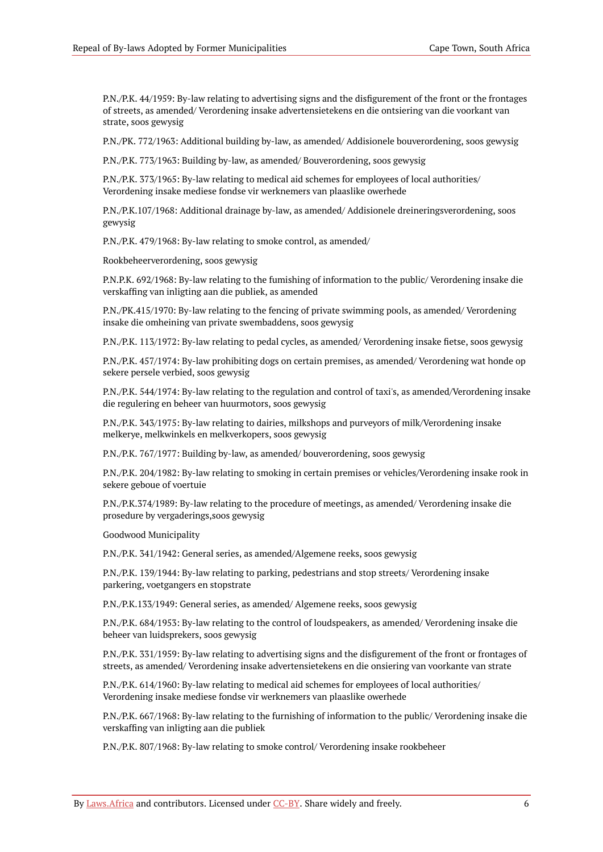P.N./P.K. 44/1959: By-law relating to advertising signs and the disfigurement of the front or the frontages of streets, as amended/ Verordening insake advertensietekens en die ontsiering van die voorkant van strate, soos gewysig

P.N./PK. 772/1963: Additional building by-law, as amended/ Addisionele bouverordening, soos gewysig

P.N./P.K. 773/1963: Building by-law, as amended/ Bouverordening, soos gewysig

P.N./P.K. 373/1965: By-law relating to medical aid schemes for employees of local authorities/ Verordening insake mediese fondse vir werknemers van plaaslike owerhede

P.N./P.K.107/1968: Additional drainage by-law, as amended/ Addisionele dreineringsverordening, soos gewysig

P.N./P.K. 479/1968: By-law relating to smoke control, as amended/

Rookbeheerverordening, soos gewysig

P.N.P.K. 692/1968: By-law relating to the fumishing of information to the public/ Verordening insake die verskaffing van inligting aan die publiek, as amended

P.N./PK.415/1970: By-law relating to the fencing of private swimming pools, as amended/ Verordening insake die omheining van private swembaddens, soos gewysig

P.N./P.K. 113/1972: By-law relating to pedal cycles, as amended/ Verordening insake fietse, soos gewysig

P.N./P.K. 457/1974: By-law prohibiting dogs on certain premises, as amended/ Verordening wat honde op sekere persele verbied, soos gewysig

P.N./P.K. 544/1974: By-law relating to the regulation and control of taxi's, as amended/Verordening insake die regulering en beheer van huurmotors, soos gewysig

P.N./P.K. 343/1975: By-law relating to dairies, milkshops and purveyors of milk/Verordening insake melkerye, melkwinkels en melkverkopers, soos gewysig

P.N./P.K. 767/1977: Building by-law, as amended/ bouverordening, soos gewysig

P.N./P.K. 204/1982: By-law relating to smoking in certain premises or vehicles/Verordening insake rook in sekere geboue of voertuie

P.N./P.K.374/1989: By-law relating to the procedure of meetings, as amended/ Verordening insake die prosedure by vergaderings,soos gewysig

Goodwood Municipality

P.N./P.K. 341/1942: General series, as amended/Algemene reeks, soos gewysig

P.N./P.K. 139/1944: By-law relating to parking, pedestrians and stop streets/ Verordening insake parkering, voetgangers en stopstrate

P.N./P.K.133/1949: General series, as amended/ Algemene reeks, soos gewysig

P.N./P.K. 684/1953: By-law relating to the control of loudspeakers, as amended/ Verordening insake die beheer van luidsprekers, soos gewysig

P.N./P.K. 331/1959: By-law relating to advertising signs and the disfigurement of the front or frontages of streets, as amended/ Verordening insake advertensietekens en die onsiering van voorkante van strate

P.N./P.K. 614/1960: By-law relating to medical aid schemes for employees of local authorities/ Verordening insake mediese fondse vir werknemers van plaaslike owerhede

P.N./P.K. 667/1968: By-law relating to the furnishing of information to the public/ Verordening insake die verskaffing van inligting aan die publiek

P.N./P.K. 807/1968: By-law relating to smoke control/ Verordening insake rookbeheer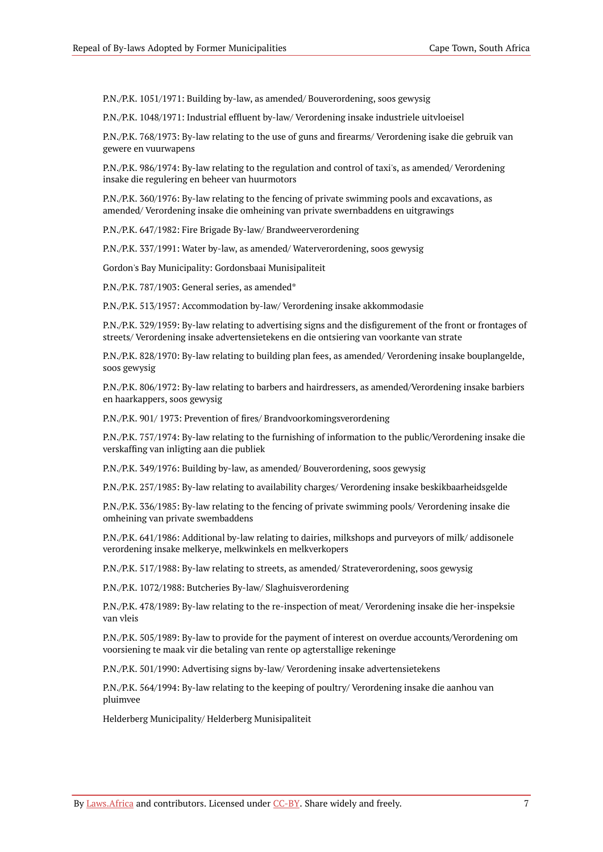P.N./P.K. 1051/1971: Building by-law, as amended/ Bouverordening, soos gewysig

P.N./P.K. 1048/1971: Industrial effluent by-law/ Verordening insake industriele uitvloeisel

P.N./P.K. 768/1973: By-law relating to the use of guns and firearms/ Verordening isake die gebruik van gewere en vuurwapens

P.N./P.K. 986/1974: By-law relating to the regulation and control of taxi's, as amended/ Verordening insake die regulering en beheer van huurmotors

P.N./P.K. 360/1976: By-law relating to the fencing of private swimming pools and excavations, as amended/ Verordening insake die omheining van private swernbaddens en uitgrawings

P.N./P.K. 647/1982: Fire Brigade By-law/ Brandweerverordening

P.N./P.K. 337/1991: Water by-law, as amended/ Waterverordening, soos gewysig

Gordon's Bay Municipality: Gordonsbaai Munisipaliteit

P.N./P.K. 787/1903: General series, as amended\*

P.N./P.K. 513/1957: Accommodation by-law/ Verordening insake akkommodasie

P.N./P.K. 329/1959: By-law relating to advertising signs and the disfigurement of the front or frontages of streets/ Verordening insake advertensietekens en die ontsiering van voorkante van strate

P.N./P.K. 828/1970: By-law relating to building plan fees, as amended/ Verordening insake bouplangelde, soos gewysig

P.N./P.K. 806/1972: By-law relating to barbers and hairdressers, as amended/Verordening insake barbiers en haarkappers, soos gewysig

P.N./P.K. 901/ 1973: Prevention of fires/ Brandvoorkomingsverordening

P.N./P.K. 757/1974: By-law relating to the furnishing of information to the public/Verordening insake die verskaffing van inligting aan die publiek

P.N./P.K. 349/1976: Building by-law, as amended/ Bouverordening, soos gewysig

P.N./P.K. 257/1985: By-law relating to availability charges/ Verordening insake beskikbaarheidsgelde

P.N./P.K. 336/1985: By-law relating to the fencing of private swimming pools/ Verordening insake die omheining van private swembaddens

P.N./P.K. 641/1986: Additional by-law relating to dairies, milkshops and purveyors of milk/ addisonele verordening insake melkerye, melkwinkels en melkverkopers

P.N./P.K. 517/1988: By-law relating to streets, as amended/ Strateverordening, soos gewysig

P.N./P.K. 1072/1988: Butcheries By-law/ Slaghuisverordening

P.N./P.K. 478/1989: By-law relating to the re-inspection of meat/ Verordening insake die her-inspeksie van vleis

P.N./P.K. 505/1989: By-law to provide for the payment of interest on overdue accounts/Verordening om voorsiening te maak vir die betaling van rente op agterstallige rekeninge

P.N./P.K. 501/1990: Advertising signs by-law/ Verordening insake advertensietekens

P.N./P.K. 564/1994: By-law relating to the keeping of poultry/ Verordening insake die aanhou van pluimvee

Helderberg Municipality/ Helderberg Munisipaliteit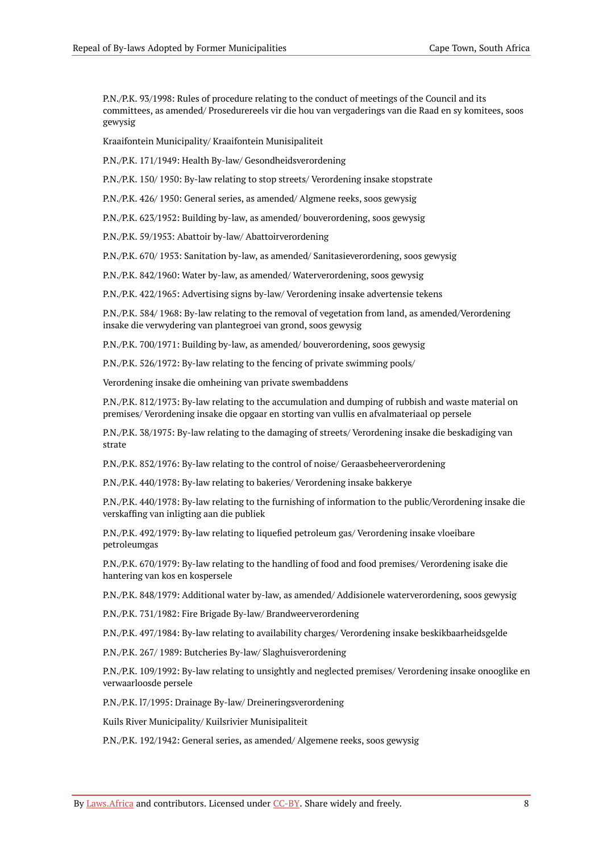P.N./P.K. 93/1998: Rules of procedure relating to the conduct of meetings of the Council and its committees, as amended/ Prosedurereels vir die hou van vergaderings van die Raad en sy komitees, soos gewysig

Kraaifontein Municipality/ Kraaifontein Munisipaliteit

P.N./P.K. 171/1949: Health By-law/ Gesondheidsverordening

P.N./P.K. 150/ 1950: By-law relating to stop streets/ Verordening insake stopstrate

P.N./P.K. 426/ 1950: General series, as amended/ Algmene reeks, soos gewysig

P.N./P.K. 623/1952: Building by-law, as amended/ bouverordening, soos gewysig

P.N./P.K. 59/1953: Abattoir by-law/ Abattoirverordening

P.N./P.K. 670/ 1953: Sanitation by-law, as amended/ Sanitasieverordening, soos gewysig

P.N./P.K. 842/1960: Water by-law, as amended/ Waterverordening, soos gewysig

P.N./P.K. 422/1965: Advertising signs by-law/ Verordening insake advertensie tekens

P.N./P.K. 584/ 1968: By-law relating to the removal of vegetation from land, as amended/Verordening insake die verwydering van plantegroei van grond, soos gewysig

P.N./P.K. 700/1971: Building by-law, as amended/ bouverordening, soos gewysig

P.N./P.K. 526/1972: By-law relating to the fencing of private swimming pools/

Verordening insake die omheining van private swembaddens

P.N./P.K. 812/1973: By-law relating to the accumulation and dumping of rubbish and waste material on premises/ Verordening insake die opgaar en storting van vullis en afvalmateriaal op persele

P.N./P.K. 38/1975: By-law relating to the damaging of streets/ Verordening insake die beskadiging van strate

P.N./P.K. 852/1976: By-law relating to the control of noise/ Geraasbeheerverordening

P.N./P.K. 440/1978: By-law relating to bakeries/ Verordening insake bakkerye

P.N./P.K. 440/1978: By-law relating to the furnishing of information to the public/Verordening insake die verskaffing van inligting aan die publiek

P.N./P.K. 492/1979: By-law relating to liquefied petroleum gas/ Verordening insake vloeibare petroleumgas

P.N./P.K. 670/1979: By-law relating to the handling of food and food premises/ Verordening isake die hantering van kos en kospersele

P.N./P.K. 848/1979: Additional water by-law, as amended/ Addisionele waterverordening, soos gewysig

P.N./P.K. 731/1982: Fire Brigade By-law/ Brandweerverordening

P.N./P.K. 497/1984: By-law relating to availability charges/ Verordening insake beskikbaarheidsgelde

P.N./P.K. 267/ 1989: Butcheries By-law/ Slaghuisverordening

P.N./P.K. 109/1992: By-law relating to unsightly and neglected premises/ Verordening insake onooglike en verwaarloosde persele

P.N./P.K. l7/1995: Drainage By-law/ Dreineringsverordening

Kuils River Municipality/ Kuilsrivier Munisipaliteit

P.N./P.K. 192/1942: General series, as amended/ Algemene reeks, soos gewysig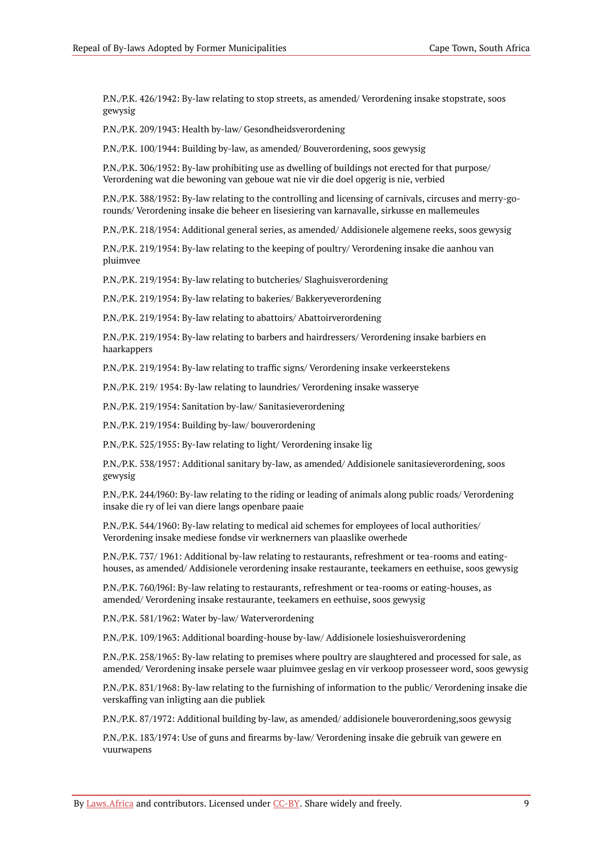P.N./P.K. 426/1942: By-law relating to stop streets, as amended/ Verordening insake stopstrate, soos gewysig

P.N./P.K. 209/1943: Health by-law/ Gesondheidsverordening

P.N./P.K. 100/1944: Building by-law, as amended/ Bouverordening, soos gewysig

P.N./P.K. 306/1952: By-law prohibiting use as dwelling of buildings not erected for that purpose/ Verordening wat die bewoning van geboue wat nie vir die doel opgerig is nie, verbied

P.N./P.K. 388/1952: By-law relating to the controlling and licensing of carnivals, circuses and merry-gorounds/ Verordening insake die beheer en lisesiering van karnavalle, sirkusse en mallemeules

P.N./P.K. 218/1954: Additional general series, as amended/ Addisionele algemene reeks, soos gewysig

P.N./P.K. 219/1954: By-law relating to the keeping of poultry/ Verordening insake die aanhou van pluimvee

P.N./P.K. 219/1954: By-law relating to butcheries/ Slaghuisverordening

P.N./P.K. 219/1954: By-law relating to bakeries/ Bakkeryeverordening

P.N./P.K. 219/1954: By-law relating to abattoirs/ Abattoirverordening

P.N./P.K. 219/1954: By-law relating to barbers and hairdressers/ Verordening insake barbiers en haarkappers

P.N./P.K. 219/1954: By-law relating to traffic signs/ Verordening insake verkeerstekens

P.N./P.K. 219/ 1954: By-law relating to laundries/ Verordening insake wasserye

P.N./P.K. 219/1954: Sanitation by-law/ Sanitasieverordening

P.N./P.K. 219/1954: Building by-law/ bouverordening

P.N./P.K. 525/1955: By-Iaw relating to light/ Verordening insake lig

P.N./P.K. 538/1957: Additional sanitary by-law, as amended/ Addisionele sanitasieverordening, soos gewysig

P.N./P.K. 244/l960: By-law relating to the riding or leading of animals along public roads/ Verordening insake die ry of lei van diere langs openbare paaie

P.N./P.K. 544/1960: By-law relating to medical aid schemes for employees of local authorities/ Verordening insake mediese fondse vir werknerners van plaaslike owerhede

P.N./P.K. 737/ 1961: Additional by-law relating to restaurants, refreshment or tea-rooms and eatinghouses, as amended/ Addisionele verordening insake restaurante, teekamers en eethuise, soos gewysig

P.N./P.K. 760/l96l: By-law relating to restaurants, refreshment or tea-rooms or eating-houses, as amended/ Verordening insake restaurante, teekamers en eethuise, soos gewysig

P.N./P.K. 581/1962: Water by-law/ Waterverordening

P.N./P.K. 109/1963: Additional boarding-house by-law/ Addisionele losieshuisverordening

P.N./P.K. 258/1965: By-law relating to premises where poultry are slaughtered and processed for sale, as amended/ Verordening insake persele waar pluimvee geslag en vir verkoop prosesseer word, soos gewysig

P.N./P.K. 831/1968: By-law relating to the furnishing of information to the public/ Verordening insake die verskaffing van inligting aan die publiek

P.N./P.K. 87/1972: Additional building by-law, as amended/ addisionele bouverordening,soos gewysig

P.N./P.K. 183/1974: Use of guns and firearms by-law/ Verordening insake die gebruik van gewere en vuurwapens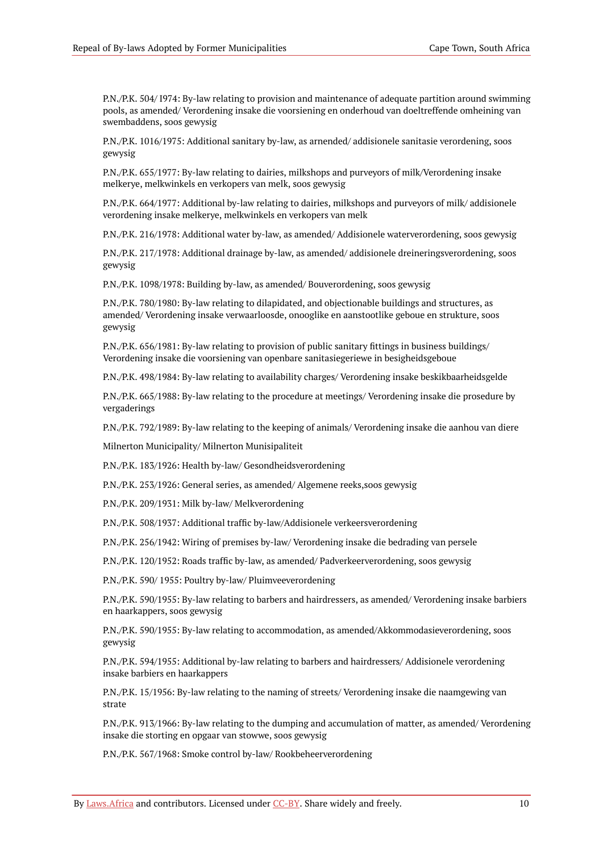P.N./P.K. 504/ I974: By-law relating to provision and maintenance of adequate partition around swimming pools, as amended/ Verordening insake die voorsiening en onderhoud van doeltreffende omheining van swembaddens, soos gewysig

P.N./P.K. 1016/1975: Additional sanitary by-law, as arnended/ addisionele sanitasie verordening, soos gewysig

P.N./P.K. 655/1977: By-law relating to dairies, milkshops and purveyors of milk/Verordening insake melkerye, melkwinkels en verkopers van melk, soos gewysig

P.N./P.K. 664/1977: Additional by-law relating to dairies, milkshops and purveyors of milk/ addisionele verordening insake melkerye, melkwinkels en verkopers van melk

P.N./P.K. 216/1978: Additional water by-law, as amended/ Addisionele waterverordening, soos gewysig

P.N./P.K. 217/1978: Additional drainage by-law, as amended/ addisionele dreineringsverordening, soos gewysig

P.N./P.K. 1098/1978: Building by-law, as amended/ Bouverordening, soos gewysig

P.N./P.K. 780/1980: By-law relating to dilapidated, and objectionable buildings and structures, as amended/ Verordening insake verwaarloosde, onooglike en aanstootlike geboue en strukture, soos gewysig

P.N./P.K. 656/1981: By-law relating to provision of public sanitary fittings in business buildings/ Verordening insake die voorsiening van openbare sanitasiegeriewe in besigheidsgeboue

P.N./P.K. 498/1984: By-law relating to availability charges/ Verordening insake beskikbaarheidsgelde

P.N./P.K. 665/1988: By-law relating to the procedure at meetings/ Verordening insake die prosedure by vergaderings

P.N./P.K. 792/1989: By-law relating to the keeping of animals/ Verordening insake die aanhou van diere

Milnerton Municipality/ Milnerton Munisipaliteit

P.N./P.K. 183/1926: Health by-law/ Gesondheidsverordening

P.N./P.K. 253/1926: General series, as amended/ Algemene reeks,soos gewysig

P.N./P.K. 209/1931: Milk by-law/ Melkverordening

P.N./P.K. 508/1937: Additional traffic by-law/Addisionele verkeersverordening

P.N./P.K. 256/1942: Wiring of premises by-law/ Verordening insake die bedrading van persele

P.N./P.K. 120/1952: Roads traffic by-law, as amended/ Padverkeerverordening, soos gewysig

P.N./P.K. 590/ 1955: Poultry by-law/ Pluimveeverordening

P.N./P.K. 590/1955: By-law relating to barbers and hairdressers, as amended/ Verordening insake barbiers en haarkappers, soos gewysig

P.N./P.K. 590/1955: By-law relating to accommodation, as amended/Akkommodasieverordening, soos gewysig

P.N./P.K. 594/1955: Additional by-law relating to barbers and hairdressers/ Addisionele verordening insake barbiers en haarkappers

P.N./P.K. 15/1956: By-law relating to the naming of streets/ Verordening insake die naamgewing van strate

P.N./P.K. 913/1966: By-law relating to the dumping and accumulation of matter, as amended/ Verordening insake die storting en opgaar van stowwe, soos gewysig

P.N./P.K. 567/1968: Smoke control by-law/ Rookbeheerverordening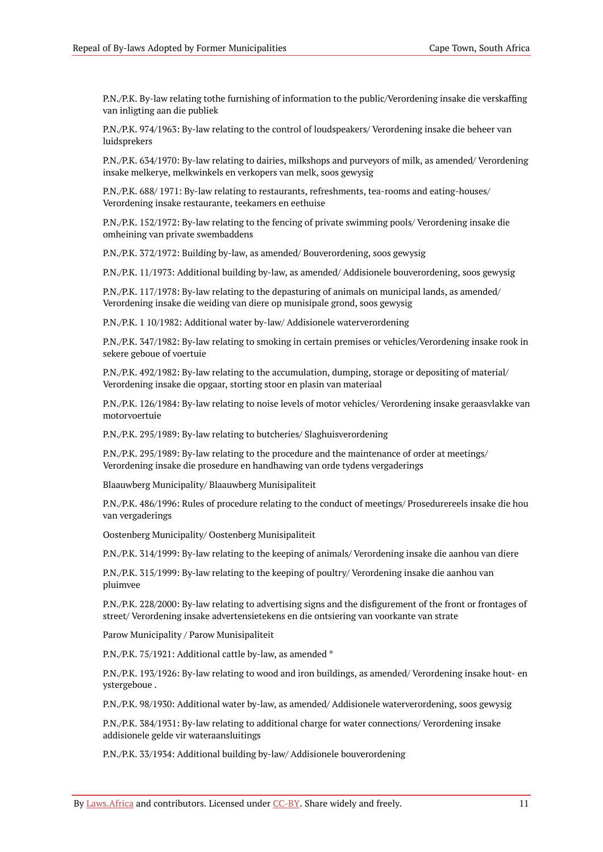P.N./P.K. By-law relating tothe furnishing of information to the public/Verordening insake die verskaffing van inligting aan die publiek

P.N./P.K. 974/1963: By-law relating to the control of loudspeakers/ Verordening insake die beheer van luidsprekers

P.N./P.K. 634/1970: By-law relating to dairies, milkshops and purveyors of milk, as amended/ Verordening insake melkerye, melkwinkels en verkopers van melk, soos gewysig

P.N./P.K. 688/ 1971: By-law relating to restaurants, refreshments, tea-rooms and eating-houses/ Verordening insake restaurante, teekamers en eethuise

P.N./P.K. 152/1972: By-law relating to the fencing of private swimming pools/ Verordening insake die omheining van private swembaddens

P.N./P.K. 372/1972: Building by-law, as amended/ Bouverordening, soos gewysig

P.N./P.K. 11/1973: Additional building by-law, as amended/ Addisionele bouverordening, soos gewysig

P.N./P.K. 117/1978: By-law relating to the depasturing of animals on municipal lands, as amended/ Verordening insake die weiding van diere op munisipale grond, soos gewysig

P.N./P.K. 1 10/1982: Additional water by-law/ Addisionele waterverordening

P.N./P.K. 347/1982: By-law relating to smoking in certain premises or vehicles/Verordening insake rook in sekere geboue of voertuie

P.N./P.K. 492/1982: By-law relating to the accumulation, dumping, storage or depositing of material/ Verordening insake die opgaar, storting stoor en plasin van materiaal

P.N./P.K. 126/1984: By-law relating to noise levels of motor vehicles/ Verordening insake geraasvlakke van motorvoertuie

P.N./P.K. 295/1989: By-law relating to butcheries/ Slaghuisverordening

P.N./P.K. 295/1989: By-law relating to the procedure and the maintenance of order at meetings/ Verordening insake die prosedure en handhawing van orde tydens vergaderings

Blaauwberg Municipality/ Blaauwberg Munisipaliteit

P.N./P.K. 486/1996: Rules of procedure relating to the conduct of meetings/ Prosedurereels insake die hou van vergaderings

Oostenberg Municipality/ Oostenberg Munisipaliteit

P.N./P.K. 314/1999: By-law relating to the keeping of animals/ Verordening insake die aanhou van diere

P.N./P.K. 315/1999: By-law relating to the keeping of poultry/ Verordening insake die aanhou van pluimvee

P.N./P.K. 228/2000: By-law relating to advertising signs and the disfigurement of the front or frontages of street/ Verordening insake advertensietekens en die ontsiering van voorkante van strate

Parow Municipality / Parow Munisipaliteit

P.N./P.K. 75/1921: Additional cattle by-law, as amended \*

P.N./P.K. 193/1926: By-law relating to wood and iron buildings, as amended/ Verordening insake hout- en ystergeboue .

P.N./P.K. 98/1930: Additional water by-law, as amended/ Addisionele waterverordening, soos gewysig

P.N./P.K. 384/1931: By-law relating to additional charge for water connections/ Verordening insake addisionele gelde vir wateraansluitings

P.N./P.K. 33/1934: Additional building by-law/ Addisionele bouverordening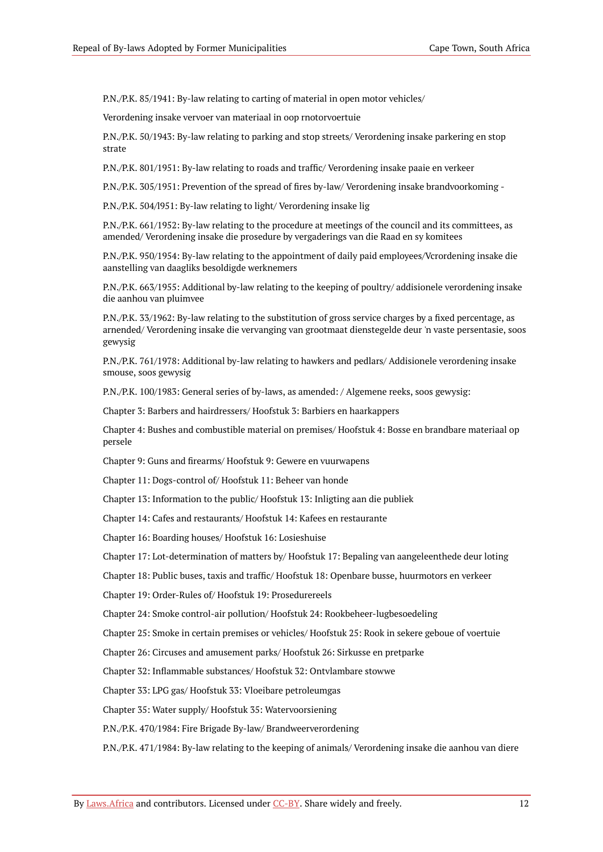P.N./P.K. 85/1941: By-law relating to carting of material in open motor vehicles/

Verordening insake vervoer van materiaal in oop rnotorvoertuie

P.N./P.K. 50/1943: By-law relating to parking and stop streets/ Verordening insake parkering en stop strate

P.N./P.K. 801/1951: By-law relating to roads and traffic/ Verordening insake paaie en verkeer

P.N./P.K. 305/1951: Prevention of the spread of fires by-law/ Verordening insake brandvoorkoming -

P.N./P.K. 504/l951: By-law relating to light/ Verordening insake lig

P.N./P.K. 661/1952: By-law relating to the procedure at meetings of the council and its committees, as amended/ Verordening insake die prosedure by vergaderings van die Raad en sy komitees

P.N./P.K. 950/1954: By-law relating to the appointment of daily paid employees/Vcrordening insake die aanstelling van daagliks besoldigde werknemers

P.N./P.K. 663/1955: Additional by-law relating to the keeping of poultry/ addisionele verordening insake die aanhou van pluimvee

P.N./P.K. 33/1962: By-law relating to the substitution of gross service charges by a fixed percentage, as arnended/ Verordening insake die vervanging van grootmaat dienstegelde deur 'n vaste persentasie, soos gewysig

P.N./P.K. 761/1978: Additional by-law relating to hawkers and pedlars/ Addisionele verordening insake smouse, soos gewysig

P.N./P.K. 100/1983: General series of by-laws, as amended: / Algemene reeks, soos gewysig:

Chapter 3: Barbers and hairdressers/ Hoofstuk 3: Barbiers en haarkappers

Chapter 4: Bushes and combustible material on premises/ Hoofstuk 4: Bosse en brandbare materiaal op persele

Chapter 9: Guns and firearms/ Hoofstuk 9: Gewere en vuurwapens

Chapter 11: Dogs-control of/ Hoofstuk 11: Beheer van honde

Chapter 13: Information to the public/ Hoofstuk 13: Inligting aan die publiek

Chapter 14: Cafes and restaurants/ Hoofstuk 14: Kafees en restaurante

Chapter 16: Boarding houses/ Hoofstuk 16: Losieshuise

Chapter 17: Lot-determination of matters by/ Hoofstuk 17: Bepaling van aangeleenthede deur loting

Chapter 18: Public buses, taxis and traffic/ Hoofstuk 18: Openbare busse, huurmotors en verkeer

Chapter 19: Order-Rules of/ Hoofstuk 19: Prosedurereels

Chapter 24: Smoke control-air pollution/ Hoofstuk 24: Rookbeheer-lugbesoedeling

Chapter 25: Smoke in certain premises or vehicles/ Hoofstuk 25: Rook in sekere geboue of voertuie

Chapter 26: Circuses and amusement parks/ Hoofstuk 26: Sirkusse en pretparke

Chapter 32: Inflammable substances/ Hoofstuk 32: Ontvlambare stowwe

Chapter 33: LPG gas/ Hoofstuk 33: Vloeibare petroleumgas

Chapter 35: Water supply/ Hoofstuk 35: Watervoorsiening

P.N./P.K. 470/1984: Fire Brigade By-law/ Brandweerverordening

P.N./P.K. 471/1984: By-law relating to the keeping of animals/ Verordening insake die aanhou van diere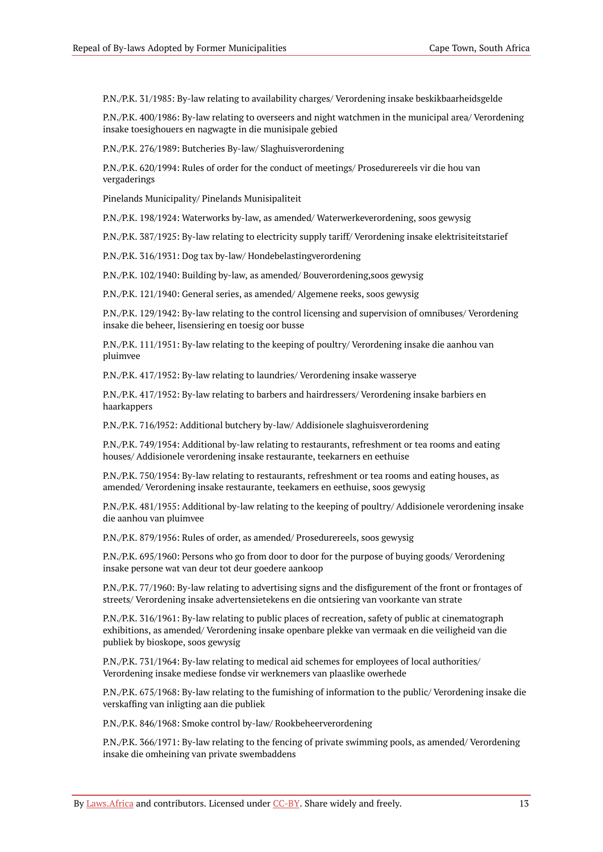P.N./P.K. 31/1985: By-law relating to availability charges/ Verordening insake beskikbaarheidsgelde

P.N./P.K. 400/1986: By-law relating to overseers and night watchmen in the municipal area/ Verordening insake toesighouers en nagwagte in die munisipale gebied

P.N./P.K. 276/1989: Butcheries By-law/ Slaghuisverordening

P.N./P.K. 620/1994: Rules of order for the conduct of meetings/ Prosedurereels vir die hou van vergaderings

Pinelands Municipality/ Pinelands Munisipaliteit

P.N./P.K. 198/1924: Waterworks by-law, as amended/ Waterwerkeverordening, soos gewysig

P.N./P.K. 387/1925: By-law relating to electricity supply tariff/ Verordening insake elektrisiteitstarief

P.N./P.K. 316/1931: Dog tax by-law/ Hondebelastingverordening

P.N./P.K. 102/1940: Building by-law, as amended/ Bouverordening,soos gewysig

P.N./P.K. 121/1940: General series, as amended/ Algemene reeks, soos gewysig

P.N./P.K. 129/1942: By-law relating to the control licensing and supervision of omnibuses/ Verordening insake die beheer, lisensiering en toesig oor busse

P.N./P.K. 111/1951: By-law relating to the keeping of poultry/ Verordening insake die aanhou van pluimvee

P.N./P.K. 417/1952: By-law relating to laundries/ Verordening insake wasserye

P.N./P.K. 417/1952: By-law relating to barbers and hairdressers/ Verordening insake barbiers en haarkappers

P.N./P.K. 716/l952: Additional butchery by-law/ Addisionele slaghuisverordening

P.N./P.K. 749/1954: Additional by-law relating to restaurants, refreshment or tea rooms and eating houses/ Addisionele verordening insake restaurante, teekarners en eethuise

P.N./P.K. 750/1954: By-law relating to restaurants, refreshment or tea rooms and eating houses, as amended/ Verordening insake restaurante, teekamers en eethuise, soos gewysig

P.N./P.K. 481/1955: Additional by-law relating to the keeping of poultry/ Addisionele verordening insake die aanhou van pluimvee

P.N./P.K. 879/1956: Rules of order, as amended/ Prosedurereels, soos gewysig

P.N./P.K. 695/1960: Persons who go from door to door for the purpose of buying goods/ Verordening insake persone wat van deur tot deur goedere aankoop

P.N./P.K. 77/1960: By-law relating to advertising signs and the disfigurement of the front or frontages of streets/ Verordening insake advertensietekens en die ontsiering van voorkante van strate

P.N./P.K. 316/1961: By-law relating to public places of recreation, safety of public at cinematograph exhibitions, as amended/ Verordening insake openbare plekke van vermaak en die veiligheid van die publiek by bioskope, soos gewysig

P.N./P.K. 731/1964: By-law relating to medical aid schemes for employees of local authorities/ Verordening insake mediese fondse vir werknemers van plaaslike owerhede

P.N./P.K. 675/1968: By-law relating to the fumishing of information to the public/ Verordening insake die verskaffing van inligting aan die publiek

P.N./P.K. 846/1968: Smoke control by-law/ Rookbeheerverordening

P.N./P.K. 366/1971: By-law relating to the fencing of private swimming pools, as amended/ Verordening insake die omheining van private swembaddens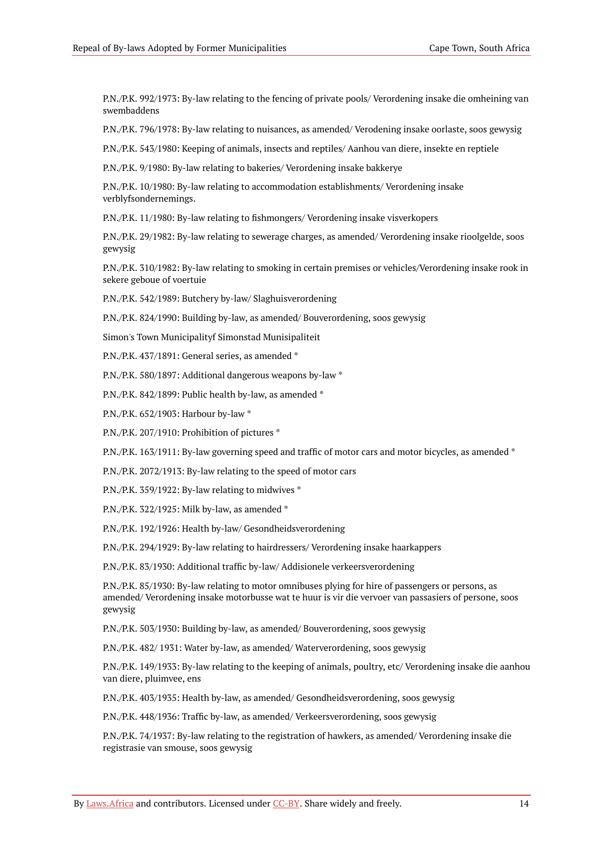P.N./P.K. 992/1973: By-law relating to the fencing of private pools/ Verordening insake die omheining van swembaddens

P.N./P.K. 796/1978: By-law relating to nuisances, as amended/ Verodening insake oorlaste, soos gewysig

P.N./P.K. 543/1980: Keeping of animals, insects and reptiles/ Aanhou van diere, insekte en reptiele

P.N./P.K. 9/1980: By-law relating to bakeries/ Verordening insake bakkerye

P.N./P.K. 10/1980: By-law relating to accommodation establishments/ Verordening insake verblyfsondernemings.

P.N./P.K. 11/1980: By-law relating to fishmongers/ Verordening insake visverkopers

P.N./P.K. 29/1982: By-law relating to sewerage charges, as amended/ Verordening insake rioolgelde, soos gewysig

P.N./P.K. 310/1982: By-law relating to smoking in certain premises or vehicles/Verordening insake rook in sekere geboue of voertuie

P.N./P.K. 542/1989: Butchery by-law/ Slaghuisverordening

P.N./P.K. 824/1990: Building by-law, as amended/ Bouverordening, soos gewysig

Simon's Town Municipalityf Simonstad Munisipaliteit

P.N./P.K. 437/1891: General series, as amended \*

P.N./P.K. 580/1897: Additional dangerous weapons by-law \*

P.N./P.K. 842/1899: Public health by-law, as amended \*

P.N./P.K. 652/1903: Harbour by-law \*

P.N./P.K. 207/1910: Prohibition of pictures \*

P.N./P.K. 163/1911: By-law governing speed and traffic of motor cars and motor bicycles, as amended \*

P.N./P.K. 2072/1913: By-law relating to the speed of motor cars

P.N./P.K. 359/1922: By-law relating to midwives \*

P.N./P.K. 322/1925: Milk by-law, as amended \*

P.N./P.K. 192/1926: Health by-law/ Gesondheidsverordening

P.N./P.K. 294/1929: By-law relating to hairdressers/ Verordening insake haarkappers

P.N./P.K. 83/1930: Additional traffic by-law/ Addisionele verkeersverordening

P.N./P.K. 85/1930: By-law relating to motor omnibuses plying for hire of passengers or persons, as amended/ Verordening insake motorbusse wat te huur is vir die vervoer van passasiers of persone, soos gewysig

P.N./P.K. 503/1930: Building by-law, as amended/ Bouverordening, soos gewysig

P.N./P.K. 482/ 1931: Water by-law, as amended/ Waterverordening, soos gewysig

P.N./P.K. 149/1933: By-law relating to the keeping of animals, poultry, etc/ Verordening insake die aanhou van diere, pluimvee, ens

P.N./P.K. 403/1935: Health by-law, as amended/ Gesondheidsverordening, soos gewysig

P.N./P.K. 448/1936: Traffic by-law, as amended/ Verkeersverordening, soos gewysig

P.N./P.K. 74/1937: By-law relating to the registration of hawkers, as amended/ Verordening insake die registrasie van smouse, soos gewysig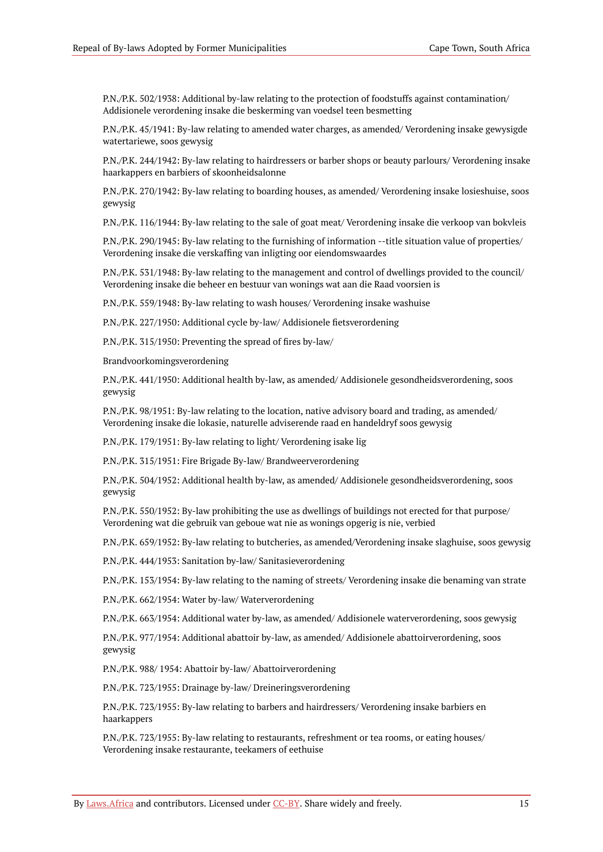P.N./P.K. 502/1938: Additional by-law relating to the protection of foodstuffs against contamination/ Addisionele verordening insake die beskerming van voedsel teen besmetting

P.N./P.K. 45/1941: By-law relating to amended water charges, as amended/ Verordening insake gewysigde watertariewe, soos gewysig

P.N./P.K. 244/1942: By-law relating to hairdressers or barber shops or beauty parlours/ Verordening insake haarkappers en barbiers of skoonheidsalonne

P.N./P.K. 270/1942: By-law relating to boarding houses, as amended/ Verordening insake losieshuise, soos gewysig

P.N./P.K. 116/1944: By-law relating to the sale of goat meat/ Verordening insake die verkoop van bokvleis

P.N./P.K. 290/1945: By-law relating to the furnishing of information --title situation value of properties/ Verordening insake die verskaffing van inligting oor eiendomswaardes

P.N./P.K. 531/1948: By-law relating to the management and control of dwellings provided to the council/ Verordening insake die beheer en bestuur van wonings wat aan die Raad voorsien is

P.N./P.K. 559/1948: By-law relating to wash houses/ Verordening insake washuise

P.N./P.K. 227/1950: Additional cycle by-law/ Addisionele fietsverordening

P.N./P.K. 315/1950: Preventing the spread of fires by-law/

Brandvoorkomingsverordening

P.N./P.K. 441/1950: Additional health by-law, as amended/ Addisionele gesondheidsverordening, soos gewysig

P.N./P.K. 98/1951: By-law relating to the location, native advisory board and trading, as amended/ Verordening insake die lokasie, naturelle adviserende raad en handeldryf soos gewysig

P.N./P.K. 179/1951: By-law relating to light/ Verordening isake lig

P.N./P.K. 315/1951: Fire Brigade By-law/ Brandweerverordening

P.N./P.K. 504/1952: Additional health by-law, as amended/ Addisionele gesondheidsverordening, soos gewysig

P.N./P.K. 550/1952: By-law prohibiting the use as dwellings of buildings not erected for that purpose/ Verordening wat die gebruik van geboue wat nie as wonings opgerig is nie, verbied

P.N./P.K. 659/1952: By-law relating to butcheries, as amended/Verordening insake slaghuise, soos gewysig

P.N./P.K. 444/1953: Sanitation by-law/ Sanitasieverordening

P.N./P.K. 153/1954: By-law relating to the naming of streets/ Verordening insake die benaming van strate

P.N./P.K. 662/1954: Water by-law/ Waterverordening

P.N./P.K. 663/1954: Additional water by-law, as amended/ Addisionele waterverordening, soos gewysig

P.N./P.K. 977/1954: Additional abattoir by-law, as amended/ Addisionele abattoirverordening, soos gewysig

P.N./P.K. 988/ 1954: Abattoir by-law/ Abattoirverordening

P.N./P.K. 723/1955: Drainage by-law/ Dreineringsverordening

P.N./P.K. 723/1955: By-law relating to barbers and hairdressers/ Verordening insake barbiers en haarkappers

P.N./P.K. 723/1955: By-law relating to restaurants, refreshment or tea rooms, or eating houses/ Verordening insake restaurante, teekamers of eethuise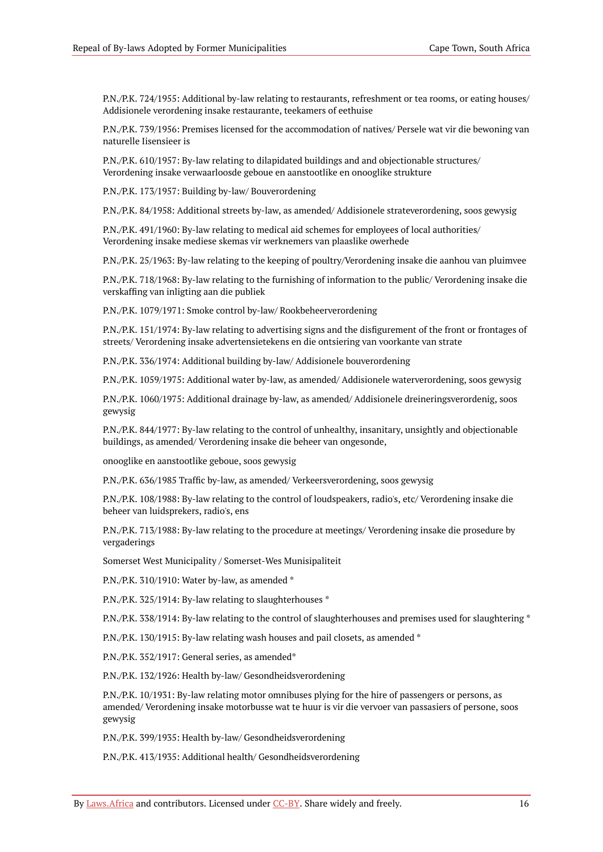P.N./P.K. 724/1955: Additional by-law relating to restaurants, refreshment or tea rooms, or eating houses/ Addisionele verordening insake restaurante, teekamers of eethuise

P.N./P.K. 739/1956: Premises licensed for the accommodation of natives/ Persele wat vir die bewoning van naturelle Iisensieer is

P.N./P.K. 610/1957: By-law relating to dilapidated buildings and and objectionable structures/ Verordening insake verwaarloosde geboue en aanstootlike en onooglike strukture

P.N./P.K. 173/1957: Building by-law/ Bouverordening

P.N./P.K. 84/1958: Additional streets by-law, as amended/ Addisionele strateverordening, soos gewysig

P.N./P.K. 491/1960: By-law relating to medical aid schemes for employees of local authorities/ Verordening insake mediese skemas vir werknemers van plaaslike owerhede

P.N./P.K. 25/1963: By-law relating to the keeping of poultry/Verordening insake die aanhou van pluimvee

P.N./P.K. 718/1968: By-law relating to the furnishing of information to the public/ Verordening insake die verskaffing van inligting aan die publiek

P.N./P.K. 1079/1971: Smoke control by-law/ Rookbeheerverordening

P.N./P.K. 151/1974: By-law relating to advertising signs and the disfigurement of the front or frontages of streets/ Verordening insake advertensietekens en die ontsiering van voorkante van strate

P.N./P.K. 336/1974: Additional building by-law/ Addisionele bouverordening

P.N./P.K. 1059/1975: Additional water by-law, as amended/ Addisionele waterverordening, soos gewysig

P.N./P.K. 1060/1975: Additional drainage by-law, as amended/ Addisionele dreineringsverordenig, soos gewysig

P.N./P.K. 844/1977: By-law relating to the control of unhealthy, insanitary, unsightly and objectionable buildings, as amended/ Verordening insake die beheer van ongesonde,

onooglike en aanstootlike geboue, soos gewysig

P.N./P.K. 636/1985 Traffic by-law, as amended/ Verkeersverordening, soos gewysig

P.N./P.K. 108/1988: By-law relating to the control of loudspeakers, radio's, etc/ Verordening insake die beheer van luidsprekers, radio's, ens

P.N./P.K. 713/1988: By-law relating to the procedure at meetings/ Verordening insake die prosedure by vergaderings

Somerset West Municipality / Somerset-Wes Munisipaliteit

P.N./P.K. 310/1910: Water by-law, as amended \*

P.N./P.K. 325/1914: By-law relating to slaughterhouses \*

P.N./P.K. 338/1914: By-law relating to the control of slaughterhouses and premises used for slaughtering \*

P.N./P.K. 130/1915: By-law relating wash houses and pail closets, as amended \*

P.N./P.K. 352/1917: General series, as amended\*

P.N./P.K. 132/1926: Health by-law/ Gesondheidsverordening

P.N./P.K. 10/1931: By-law relating motor omnibuses plying for the hire of passengers or persons, as amended/ Verordening insake motorbusse wat te huur is vir die vervoer van passasiers of persone, soos gewysig

P.N./P.K. 399/1935: Health by-law/ Gesondheidsverordening

P.N./P.K. 413/1935: Additional health/ Gesondheidsverordening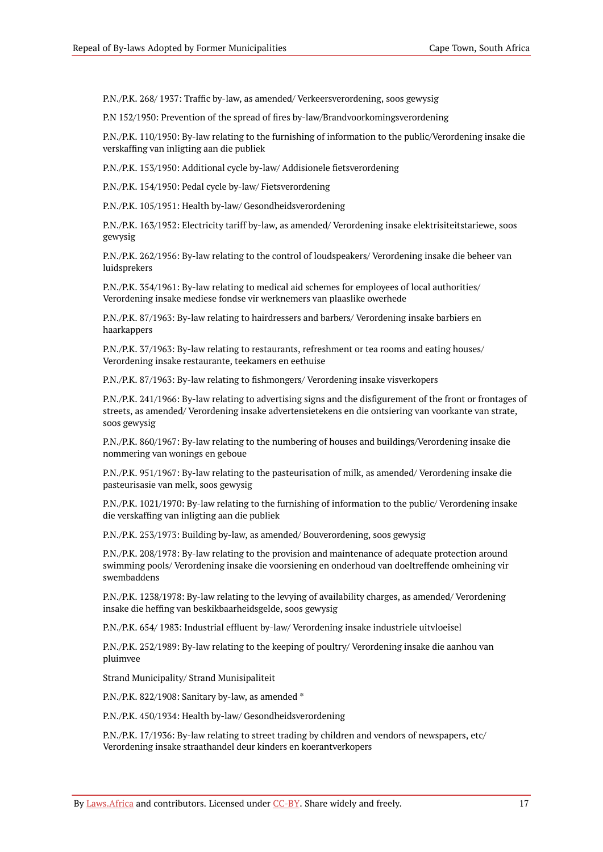P.N./P.K. 268/ 1937: Traffic by-law, as amended/ Verkeersverordening, soos gewysig

P.N 152/1950: Prevention of the spread of fires by-law/Brandvoorkomingsverordening

P.N./P.K. 110/1950: By-law relating to the furnishing of information to the public/Verordening insake die verskaffing van inligting aan die publiek

P.N./P.K. 153/1950: Additional cycle by-law/ Addisionele fietsverordening

P.N./P.K. 154/1950: Pedal cycle by-law/ Fietsverordening

P.N./P.K. 105/1951: Health by-law/ Gesondheidsverordening

P.N./P.K. 163/1952: Electricity tariff by-law, as amended/ Verordening insake elektrisiteitstariewe, soos gewysig

P.N./P.K. 262/1956: By-law relating to the control of loudspeakers/ Verordening insake die beheer van luidsprekers

P.N./P.K. 354/1961: By-law relating to medical aid schemes for employees of local authorities/ Verordening insake mediese fondse vir werknemers van plaaslike owerhede

P.N./P.K. 87/1963: By-law relating to hairdressers and barbers/ Verordening insake barbiers en haarkappers

P.N./P.K. 37/1963: By-law relating to restaurants, refreshment or tea rooms and eating houses/ Verordening insake restaurante, teekamers en eethuise

P.N./P.K. 87/1963: By-law relating to fishmongers/ Verordening insake visverkopers

P.N./P.K. 241/1966: By-law relating to advertising signs and the disfigurement of the front or frontages of streets, as amended/ Verordening insake advertensietekens en die ontsiering van voorkante van strate, soos gewysig

P.N./P.K. 860/1967: By-law relating to the numbering of houses and buildings/Verordening insake die nommering van wonings en geboue

P.N./P.K. 951/1967: By-law relating to the pasteurisation of milk, as amended/ Verordening insake die pasteurisasie van melk, soos gewysig

P.N./P.K. 1021/1970: By-law relating to the furnishing of information to the public/ Verordening insake die verskaffing van inligting aan die publiek

P.N./P.K. 253/1973: Building by-law, as amended/ Bouverordening, soos gewysig

P.N./P.K. 208/1978: By-law relating to the provision and maintenance of adequate protection around swimming pools/ Verordening insake die voorsiening en onderhoud van doeltreffende omheining vir swembaddens

P.N./P.K. 1238/1978: By-law relating to the levying of availability charges, as amended/ Verordening insake die heffing van beskikbaarheidsgelde, soos gewysig

P.N./P.K. 654/ 1983: Industrial effluent by-law/ Verordening insake industriele uitvloeisel

P.N./P.K. 252/1989: By-law relating to the keeping of poultry/ Verordening insake die aanhou van pluimvee

Strand Municipality/ Strand Munisipaliteit

P.N./P.K. 822/1908: Sanitary by-law, as amended \*

P.N./P.K. 450/1934: Health by-law/ Gesondheidsverordening

P.N./P.K. 17/1936: By-law relating to street trading by children and vendors of newspapers, etc/ Verordening insake straathandel deur kinders en koerantverkopers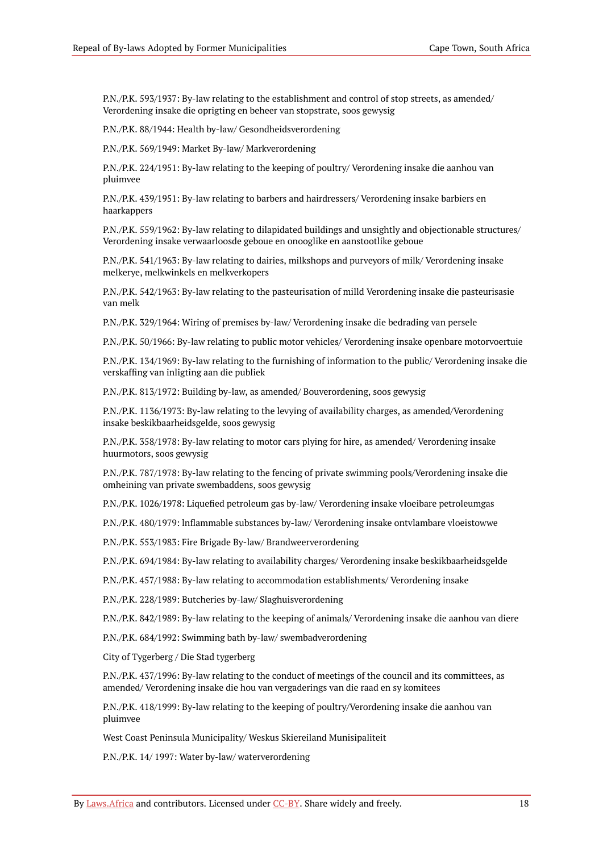P.N./P.K. 593/1937: By-law relating to the establishment and control of stop streets, as amended/ Verordening insake die oprigting en beheer van stopstrate, soos gewysig

P.N./P.K. 88/1944: Health by-law/ Gesondheidsverordening

P.N./P.K. 569/1949: Market By-law/ Markverordening

P.N./P.K. 224/1951: By-law relating to the keeping of poultry/ Verordening insake die aanhou van pluimvee

P.N./P.K. 439/1951: By-law relating to barbers and hairdressers/ Verordening insake barbiers en haarkappers

P.N./P.K. 559/1962: By-law relating to dilapidated buildings and unsightly and objectionable structures/ Verordening insake verwaarloosde geboue en onooglike en aanstootlike geboue

P.N./P.K. 541/1963: By-law relating to dairies, milkshops and purveyors of milk/ Verordening insake melkerye, melkwinkels en melkverkopers

P.N./P.K. 542/1963: By-law relating to the pasteurisation of milld Verordening insake die pasteurisasie van melk

P.N./P.K. 329/1964: Wiring of premises by-law/ Verordening insake die bedrading van persele

P.N./P.K. 50/1966: By-law relating to public motor vehicles/ Verordening insake openbare motorvoertuie

P.N./P.K. 134/1969: By-law relating to the furnishing of information to the public/ Verordening insake die verskaffing van inligting aan die publiek

P.N./P.K. 813/1972: Building by-law, as amended/ Bouverordening, soos gewysig

P.N./P.K. 1136/1973: By-law relating to the levying of availability charges, as amended/Verordening insake beskikbaarheidsgelde, soos gewysig

P.N./P.K. 358/1978: By-law relating to motor cars plying for hire, as amended/ Verordening insake huurmotors, soos gewysig

P.N./P.K. 787/1978: By-law relating to the fencing of private swimming pools/Verordening insake die omheining van private swembaddens, soos gewysig

P.N./P.K. 1026/1978: Liquefied petroleum gas by-law/ Verordening insake vloeibare petroleumgas

P.N./P.K. 480/1979: lnflammable substances by-law/ Verordening insake ontvlambare vloeistowwe

P.N./P.K. 553/1983: Fire Brigade By-law/ Brandweerverordening

P.N./P.K. 694/1984: By-law relating to availability charges/ Verordening insake beskikbaarheidsgelde

P.N./P.K. 457/1988: By-law relating to accommodation establishments/ Verordening insake

P.N./P.K. 228/1989: Butcheries by-law/ Slaghuisverordening

P.N./P.K. 842/1989: By-law relating to the keeping of animals/ Verordening insake die aanhou van diere

P.N./P.K. 684/1992: Swimming bath by-law/ swembadverordening

City of Tygerberg / Die Stad tygerberg

P.N./P.K. 437/1996: By-law relating to the conduct of meetings of the council and its committees, as amended/ Verordening insake die hou van vergaderings van die raad en sy komitees

P.N./P.K. 418/1999: By-law relating to the keeping of poultry/Verordening insake die aanhou van pluimvee

West Coast Peninsula Municipality/ Weskus Skiereiland Munisipaliteit

P.N./P.K. 14/ 1997: Water by-law/ waterverordening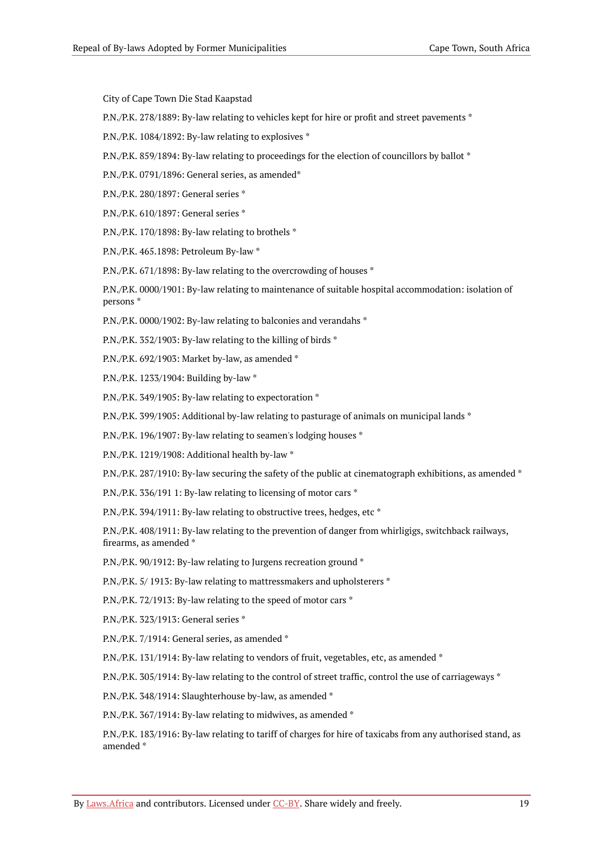City of Cape Town Die Stad Kaapstad

P.N./P.K. 278/1889: By-law relating to vehicles kept for hire or profit and street pavements \*

P.N./P.K. 1084/1892: By-law relating to explosives \*

P.N./P.K. 859/1894: By-law relating to proceedings for the election of councillors by ballot \*

P.N./P.K. 0791/1896: General series, as amended\*

P.N./P.K. 280/1897: General series \*

P.N./P.K. 610/1897: General series \*

P.N./P.K. 170/1898: By-law relating to brothels \*

P.N./P.K. 465.1898: Petroleum By-law \*

P.N./P.K. 671/1898: By-law relating to the overcrowding of houses \*

P.N./P.K. 0000/1901: By-law relating to maintenance of suitable hospital accommodation: isolation of persons \*

P.N./P.K. 0000/1902: By-law relating to balconies and verandahs \*

P.N./P.K. 352/1903: By-law relating to the killing of birds \*

P.N./P.K. 692/1903: Market by-law, as amended \*

P.N./P.K. 1233/1904: Building by-law \*

P.N./P.K. 349/1905: By-law relating to expectoration \*

P.N./P.K. 399/1905: Additional by-law relating to pasturage of animals on municipal lands \*

P.N./P.K. 196/1907: By-law relating to seamen's lodging houses \*

P.N./P.K. 1219/1908: Additional health by-law \*

P.N./P.K. 287/1910: By-law securing the safety of the public at cinematograph exhibitions, as amended \*

P.N./P.K. 336/191 1: By-law relating to licensing of motor cars \*

P.N./P.K. 394/1911: By-law relating to obstructive trees, hedges, etc \*

P.N./P.K. 408/1911: By-law relating to the prevention of danger from whirligigs, switchback railways, firearms, as amended \*

P.N./P.K. 90/1912: By-law relating to Jurgens recreation ground \*

P.N./P.K. 5/ 1913: By-law relating to mattressmakers and upholsterers \*

P.N./P.K. 72/1913: By-law relating to the speed of motor cars  $*$ 

P.N./P.K. 323/1913: General series \*

P.N./P.K. 7/1914: General series, as amended \*

P.N./P.K. 131/1914: By-law relating to vendors of fruit, vegetables, etc, as amended \*

P.N./P.K. 305/1914: By-law relating to the control of street traffic, control the use of carriageways \*

P.N./P.K. 348/1914: Slaughterhouse by-law, as amended \*

P.N./P.K. 367/1914: By-law relating to midwives, as amended \*

P.N./P.K. 183/1916: By-law relating to tariff of charges for hire of taxicabs from any authorised stand, as amended \*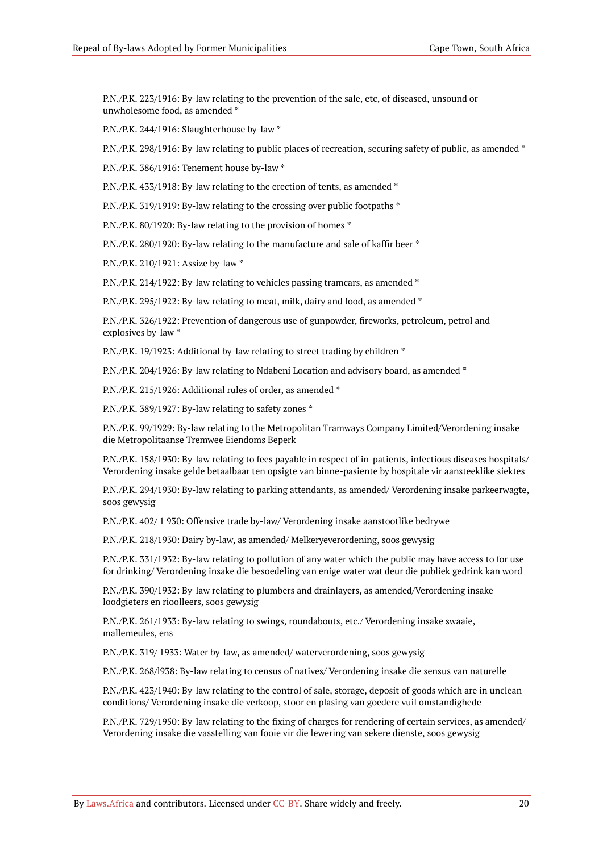P.N./P.K. 223/1916: By-law relating to the prevention of the sale, etc, of diseased, unsound or unwholesome food, as amended \*

P.N./P.K. 244/1916: Slaughterhouse by-law \*

P.N./P.K. 298/1916: By-law relating to public places of recreation, securing safety of public, as amended \*

P.N./P.K. 386/1916: Tenement house by-law \*

P.N./P.K. 433/1918: By-law relating to the erection of tents, as amended \*

P.N./P.K. 319/1919: By-law relating to the crossing over public footpaths \*

P.N./P.K. 80/1920: By-law relating to the provision of homes  $*$ 

P.N./P.K. 280/1920: By-law relating to the manufacture and sale of kaffir beer \*

P.N./P.K. 210/1921: Assize by-law \*

P.N./P.K. 214/1922: By-law relating to vehicles passing tramcars, as amended \*

P.N./P.K. 295/1922: By-law relating to meat, milk, dairy and food, as amended \*

P.N./P.K. 326/1922: Prevention of dangerous use of gunpowder, fireworks, petroleum, petrol and explosives by-law \*

P.N./P.K. 19/1923: Additional by-law relating to street trading by children \*

P.N./P.K. 204/1926: By-law relating to Ndabeni Location and advisory board, as amended \*

P.N./P.K. 215/1926: Additional rules of order, as amended \*

P.N./P.K. 389/1927: By-law relating to safety zones \*

P.N./P.K. 99/1929: By-law relating to the Metropolitan Tramways Company Limited/Verordening insake die Metropolitaanse Tremwee Eiendoms Beperk

P.N./P.K. 158/1930: By-law relating to fees payable in respect of in-patients, infectious diseases hospitals/ Verordening insake gelde betaalbaar ten opsigte van binne-pasiente by hospitale vir aansteeklike siektes

P.N./P.K. 294/1930: By-law relating to parking attendants, as amended/ Verordening insake parkeerwagte, soos gewysig

P.N./P.K. 402/ 1 930: Offensive trade by-law/ Verordening insake aanstootlike bedrywe

P.N./P.K. 218/1930: Dairy by-law, as amended/ Melkeryeverordening, soos gewysig

P.N./P.K. 331/1932: By-law relating to pollution of any water which the public may have access to for use for drinking/ Verordening insake die besoedeling van enige water wat deur die publiek gedrink kan word

P.N./P.K. 390/1932: By-law relating to plumbers and drainlayers, as amended/Verordening insake loodgieters en rioolleers, soos gewysig

P.N./P.K. 261/1933: By-law relating to swings, roundabouts, etc./ Verordening insake swaaie, mallemeules, ens

P.N./P.K. 319/ 1933: Water by-law, as amended/ waterverordening, soos gewysig

P.N./P.K. 268/l938: By-law relating to census of natives/ Verordening insake die sensus van naturelle

P.N./P.K. 423/1940: By-law relating to the control of sale, storage, deposit of goods which are in unclean conditions/ Verordening insake die verkoop, stoor en plasing van goedere vuil omstandighede

P.N./P.K. 729/1950: By-law relating to the fixing of charges for rendering of certain services, as amended/ Verordening insake die vasstelling van fooie vir die lewering van sekere dienste, soos gewysig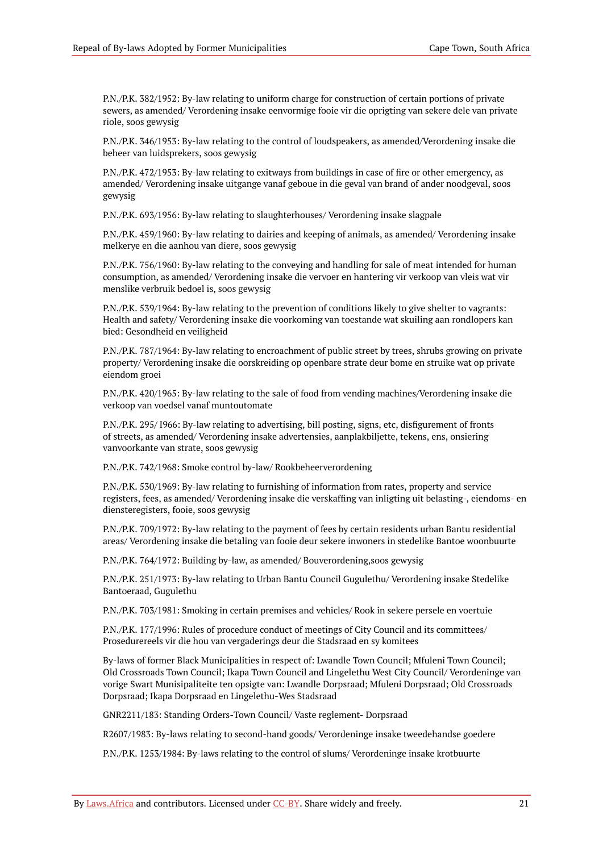P.N./P.K. 382/1952: By-law relating to uniform charge for construction of certain portions of private sewers, as amended/ Verordening insake eenvormige fooie vir die oprigting van sekere dele van private riole, soos gewysig

P.N./P.K. 346/1953: By-law relating to the control of loudspeakers, as amended/Verordening insake die beheer van luidsprekers, soos gewysig

P.N./P.K. 472/1953: By-law relating to exitways from buildings in case of fire or other emergency, as amended/ Verordening insake uitgange vanaf geboue in die geval van brand of ander noodgeval, soos gewysig

P.N./P.K. 693/1956: By-law relating to slaughterhouses/ Verordening insake slagpale

P.N./P.K. 459/1960: By-law relating to dairies and keeping of animals, as amended/ Verordening insake melkerye en die aanhou van diere, soos gewysig

P.N./P.K. 756/1960: By-law relating to the conveying and handling for sale of meat intended for human consumption, as amended/ Verordening insake die vervoer en hantering vir verkoop van vleis wat vir menslike verbruik bedoel is, soos gewysig

P.N./P.K. 539/1964: By-law relating to the prevention of conditions likely to give shelter to vagrants: Health and safety/ Verordening insake die voorkoming van toestande wat skuiling aan rondlopers kan bied: Gesondheid en veiligheid

P.N./P.K. 787/1964: By-law relating to encroachment of public street by trees, shrubs growing on private property/ Verordening insake die oorskreiding op openbare strate deur bome en struike wat op private eiendom groei

P.N./P.K. 420/1965: By-law relating to the sale of food from vending machines/Verordening insake die verkoop van voedsel vanaf muntoutomate

P.N./P.K. 295/ I966: By-law relating to advertising, bill posting, signs, etc, disfigurement of fronts of streets, as amended/ Verordening insake advertensies, aanplakbiljette, tekens, ens, onsiering vanvoorkante van strate, soos gewysig

P.N./P.K. 742/1968: Smoke control by-law/ Rookbeheerverordening

P.N./P.K. 530/1969: By-law relating to furnishing of information from rates, property and service registers, fees, as amended/ Verordening insake die verskaffing van inligting uit belasting-, eiendoms- en diensteregisters, fooie, soos gewysig

P.N./P.K. 709/1972: By-law relating to the payment of fees by certain residents urban Bantu residential areas/ Verordening insake die betaling van fooie deur sekere inwoners in stedelike Bantoe woonbuurte

P.N./P.K. 764/1972: Building by-law, as amended/ Bouverordening,soos gewysig

P.N./P.K. 251/1973: By-law relating to Urban Bantu Council Gugulethu/ Verordening insake Stedelike Bantoeraad, Gugulethu

P.N./P.K. 703/1981: Smoking in certain premises and vehicles/ Rook in sekere persele en voertuie

P.N./P.K. 177/1996: Rules of procedure conduct of meetings of City Council and its committees/ Prosedurereels vir die hou van vergaderings deur die Stadsraad en sy komitees

By-laws of former Black Municipalities in respect of: Lwandle Town Council; Mfuleni Town Council; Old Crossroads Town Council; Ikapa Town Council and Lingelethu West City Council/ Verordeninge van vorige Swart Munisipaliteite ten opsigte van: Lwandle Dorpsraad; Mfuleni Dorpsraad; Old Crossroads Dorpsraad; Ikapa Dorpsraad en Lingelethu-Wes Stadsraad

GNR2211/183: Standing Orders-Town Council/ Vaste reglement- Dorpsraad

R2607/1983: By-laws relating to second-hand goods/ Verordeninge insake tweedehandse goedere

P.N./P.K. 1253/1984: By-laws relating to the control of slums/ Verordeninge insake krotbuurte